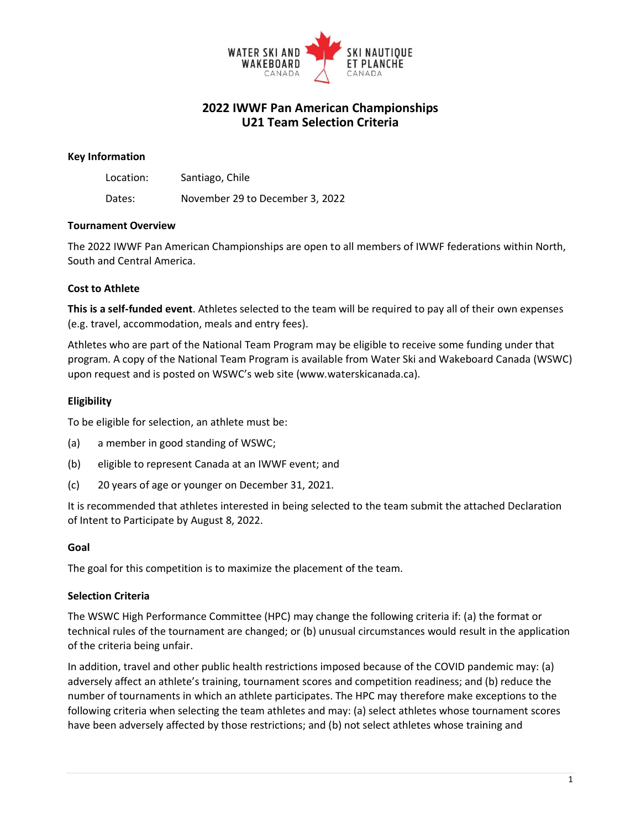

# **2022 IWWF Pan American Championships U21 Team Selection Criteria**

#### **Key Information**

| Location: | Santiago, Chile                 |
|-----------|---------------------------------|
| Dates:    | November 29 to December 3, 2022 |

#### **Tournament Overview**

The 2022 IWWF Pan American Championships are open to all members of IWWF federations within North, South and Central America.

#### **Cost to Athlete**

**This is a self-funded event**. Athletes selected to the team will be required to pay all of their own expenses (e.g. travel, accommodation, meals and entry fees).

Athletes who are part of the National Team Program may be eligible to receive some funding under that program. A copy of the National Team Program is available from Water Ski and Wakeboard Canada (WSWC) upon request and is posted on WSWC's web site (www.waterskicanada.ca).

#### **Eligibility**

To be eligible for selection, an athlete must be:

- (a) a member in good standing of WSWC;
- (b) eligible to represent Canada at an IWWF event; and
- (c) 20 years of age or younger on December 31, 2021.

It is recommended that athletes interested in being selected to the team submit the attached Declaration of Intent to Participate by August 8, 2022.

#### **Goal**

The goal for this competition is to maximize the placement of the team.

#### **Selection Criteria**

The WSWC High Performance Committee (HPC) may change the following criteria if: (a) the format or technical rules of the tournament are changed; or (b) unusual circumstances would result in the application of the criteria being unfair.

In addition, travel and other public health restrictions imposed because of the COVID pandemic may: (a) adversely affect an athlete's training, tournament scores and competition readiness; and (b) reduce the number of tournaments in which an athlete participates. The HPC may therefore make exceptions to the following criteria when selecting the team athletes and may: (a) select athletes whose tournament scores have been adversely affected by those restrictions; and (b) not select athletes whose training and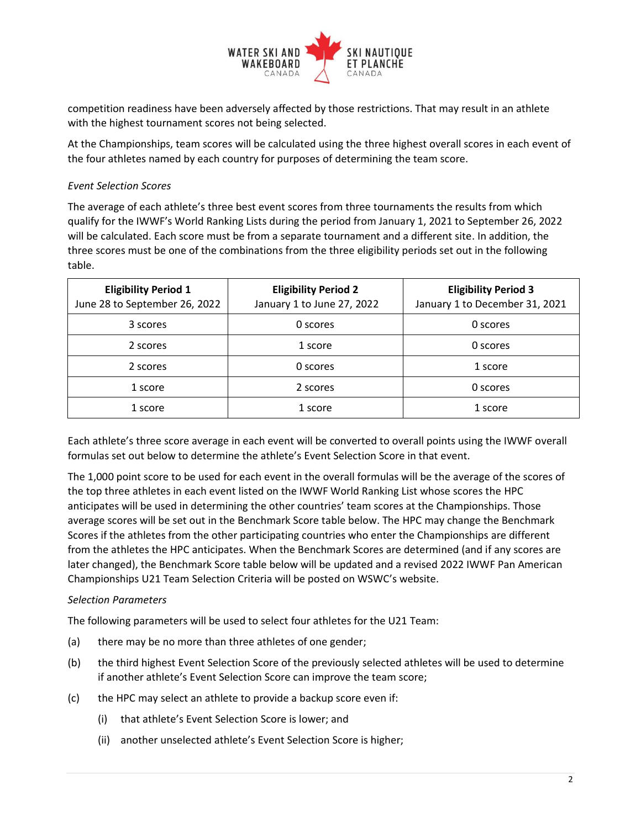

competition readiness have been adversely affected by those restrictions. That may result in an athlete with the highest tournament scores not being selected.

At the Championships, team scores will be calculated using the three highest overall scores in each event of the four athletes named by each country for purposes of determining the team score.

# *Event Selection Scores*

The average of each athlete's three best event scores from three tournaments the results from which qualify for the IWWF's World Ranking Lists during the period from January 1, 2021 to September 26, 2022 will be calculated. Each score must be from a separate tournament and a different site. In addition, the three scores must be one of the combinations from the three eligibility periods set out in the following table.

| <b>Eligibility Period 1</b><br>June 28 to September 26, 2022 | <b>Eligibility Period 2</b><br>January 1 to June 27, 2022 | <b>Eligibility Period 3</b><br>January 1 to December 31, 2021 |
|--------------------------------------------------------------|-----------------------------------------------------------|---------------------------------------------------------------|
| 3 scores                                                     | 0 scores                                                  | 0 scores                                                      |
| 2 scores                                                     | 1 score                                                   | 0 scores                                                      |
| 2 scores                                                     | 0 scores                                                  | 1 score                                                       |
| 1 score                                                      | 2 scores                                                  | 0 scores                                                      |
| 1 score                                                      | 1 score                                                   | 1 score                                                       |

Each athlete's three score average in each event will be converted to overall points using the IWWF overall formulas set out below to determine the athlete's Event Selection Score in that event.

The 1,000 point score to be used for each event in the overall formulas will be the average of the scores of the top three athletes in each event listed on the IWWF World Ranking List whose scores the HPC anticipates will be used in determining the other countries' team scores at the Championships. Those average scores will be set out in the Benchmark Score table below. The HPC may change the Benchmark Scores if the athletes from the other participating countries who enter the Championships are different from the athletes the HPC anticipates. When the Benchmark Scores are determined (and if any scores are later changed), the Benchmark Score table below will be updated and a revised 2022 IWWF Pan American Championships U21 Team Selection Criteria will be posted on WSWC's website.

#### *Selection Parameters*

The following parameters will be used to select four athletes for the U21 Team:

- (a) there may be no more than three athletes of one gender;
- (b) the third highest Event Selection Score of the previously selected athletes will be used to determine if another athlete's Event Selection Score can improve the team score;
- (c) the HPC may select an athlete to provide a backup score even if:
	- (i) that athlete's Event Selection Score is lower; and
	- (ii) another unselected athlete's Event Selection Score is higher;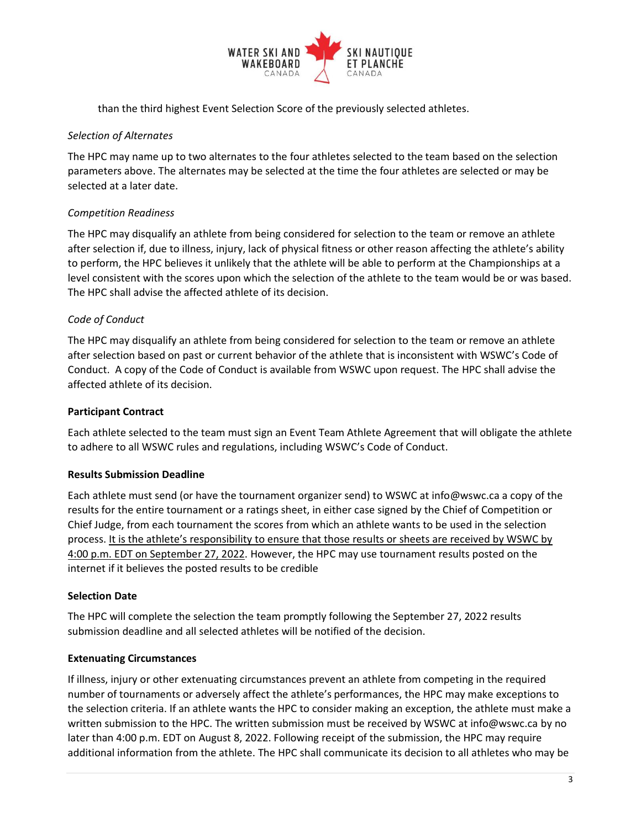

than the third highest Event Selection Score of the previously selected athletes.

### *Selection of Alternates*

The HPC may name up to two alternates to the four athletes selected to the team based on the selection parameters above. The alternates may be selected at the time the four athletes are selected or may be selected at a later date.

# *Competition Readiness*

The HPC may disqualify an athlete from being considered for selection to the team or remove an athlete after selection if, due to illness, injury, lack of physical fitness or other reason affecting the athlete's ability to perform, the HPC believes it unlikely that the athlete will be able to perform at the Championships at a level consistent with the scores upon which the selection of the athlete to the team would be or was based. The HPC shall advise the affected athlete of its decision.

## *Code of Conduct*

The HPC may disqualify an athlete from being considered for selection to the team or remove an athlete after selection based on past or current behavior of the athlete that is inconsistent with WSWC's Code of Conduct. A copy of the Code of Conduct is available from WSWC upon request. The HPC shall advise the affected athlete of its decision.

### **Participant Contract**

Each athlete selected to the team must sign an Event Team Athlete Agreement that will obligate the athlete to adhere to all WSWC rules and regulations, including WSWC's Code of Conduct.

#### **Results Submission Deadline**

Each athlete must send (or have the tournament organizer send) to WSWC at info@wswc.ca a copy of the results for the entire tournament or a ratings sheet, in either case signed by the Chief of Competition or Chief Judge, from each tournament the scores from which an athlete wants to be used in the selection process. It is the athlete's responsibility to ensure that those results or sheets are received by WSWC by 4:00 p.m. EDT on September 27, 2022. However, the HPC may use tournament results posted on the internet if it believes the posted results to be credible

#### **Selection Date**

The HPC will complete the selection the team promptly following the September 27, 2022 results submission deadline and all selected athletes will be notified of the decision.

#### **Extenuating Circumstances**

If illness, injury or other extenuating circumstances prevent an athlete from competing in the required number of tournaments or adversely affect the athlete's performances, the HPC may make exceptions to the selection criteria. If an athlete wants the HPC to consider making an exception, the athlete must make a written submission to the HPC. The written submission must be received by WSWC at info@wswc.ca by no later than 4:00 p.m. EDT on August 8, 2022. Following receipt of the submission, the HPC may require additional information from the athlete. The HPC shall communicate its decision to all athletes who may be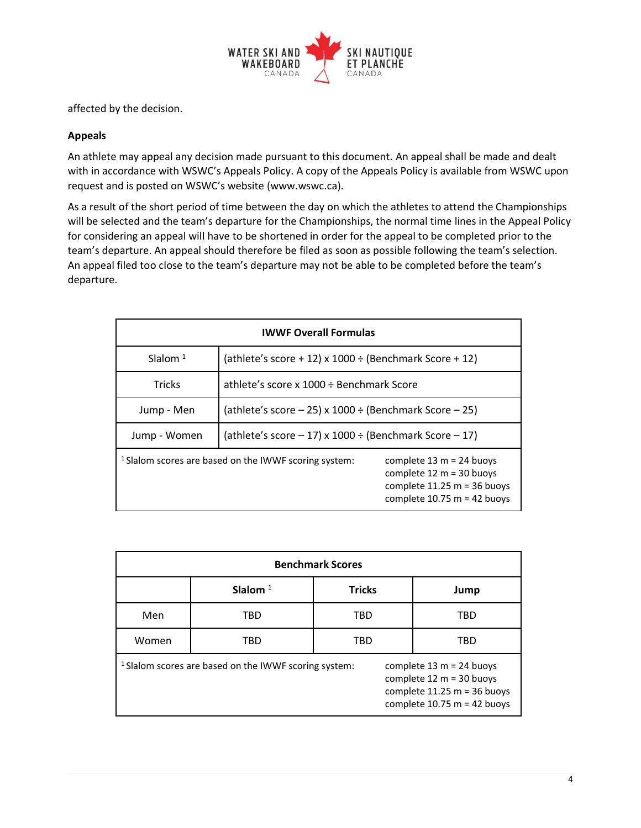

affected by the decision.

## **Appeals**

An athlete may appeal any decision made pursuant to this document. An appeal shall be made and dealt with in accordance with WSWC's Appeals Policy. A copy of the Appeals Policy is available from WSWC upon request and is posted on WSWC's website (www.wswc.ca).

As a result of the short period of time between the day on which the athletes to attend the Championships will be selected and the team's departure for the Championships, the normal time lines in the Appeal Policy for considering an appeal will have to be shortened in order for the appeal to be completed prior to the team's departure. An appeal should therefore be filed as soon as possible following the team's selection. An appeal filed too close to the team's departure may not be able to be completed before the team's departure.

| <b>IWWF Overall Formulas</b>                                     |                                                             |                                                                                                                            |  |  |
|------------------------------------------------------------------|-------------------------------------------------------------|----------------------------------------------------------------------------------------------------------------------------|--|--|
| Slalom $1$                                                       | (athlete's score + 12) x 1000 $\div$ (Benchmark Score + 12) |                                                                                                                            |  |  |
| <b>Tricks</b>                                                    | athlete's score x 1000 ÷ Benchmark Score                    |                                                                                                                            |  |  |
| Jump - Men                                                       | (athlete's score $-25$ ) x 1000 ÷ (Benchmark Score $-25$ )  |                                                                                                                            |  |  |
| Jump - Women                                                     | (athlete's score $-17$ ) x 1000 ÷ (Benchmark Score $-17$ )  |                                                                                                                            |  |  |
| <sup>1</sup> Slalom scores are based on the IWWF scoring system: |                                                             | complete $13 m = 24$ buoys<br>complete $12 m = 30$ buoys<br>complete $11.25 m = 36$ buoys<br>complete $10.75$ m = 42 buoys |  |  |

| <b>Benchmark Scores</b>                                          |            |               |                                                                                                                            |  |  |
|------------------------------------------------------------------|------------|---------------|----------------------------------------------------------------------------------------------------------------------------|--|--|
|                                                                  | Slalom $1$ | <b>Tricks</b> | Jump                                                                                                                       |  |  |
| Men                                                              | TBD        | TBD           | TBD                                                                                                                        |  |  |
| Women                                                            | TBD        | TBD           | TBD                                                                                                                        |  |  |
| <sup>1</sup> Slalom scores are based on the IWWF scoring system: |            |               | complete $13 m = 24$ buoys<br>complete $12 m = 30$ buoys<br>complete $11.25 m = 36$ buoys<br>complete $10.75$ m = 42 buoys |  |  |